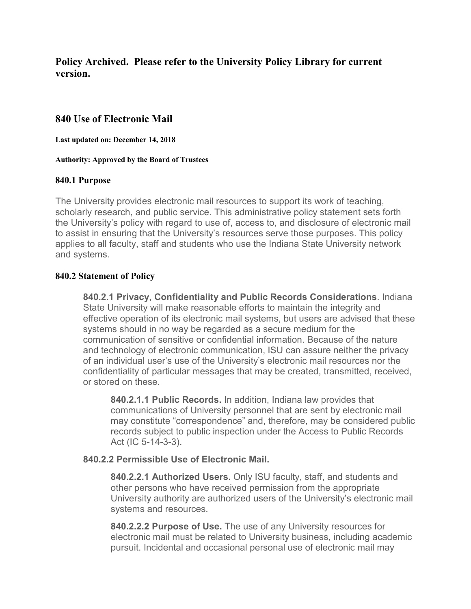**Policy Archived. Please refer to the University Policy Library for current version.**

## **840 Use of Electronic Mail**

**Last updated on: December 14, 2018**

**Authority: Approved by the Board of Trustees**

### **840.1 Purpose**

The University provides electronic mail resources to support its work of teaching, scholarly research, and public service. This administrative policy statement sets forth the University's policy with regard to use of, access to, and disclosure of electronic mail to assist in ensuring that the University's resources serve those purposes. This policy applies to all faculty, staff and students who use the Indiana State University network and systems.

### **840.2 Statement of Policy**

**840.2.1 Privacy, Confidentiality and Public Records Considerations**. Indiana State University will make reasonable efforts to maintain the integrity and effective operation of its electronic mail systems, but users are advised that these systems should in no way be regarded as a secure medium for the communication of sensitive or confidential information. Because of the nature and technology of electronic communication, ISU can assure neither the privacy of an individual user's use of the University's electronic mail resources nor the confidentiality of particular messages that may be created, transmitted, received, or stored on these.

**840.2.1.1 Public Records.** In addition, Indiana law provides that communications of University personnel that are sent by electronic mail may constitute "correspondence" and, therefore, may be considered public records subject to public inspection under the Access to Public Records Act (IC 5-14-3-3).

## **840.2.2 Permissible Use of Electronic Mail.**

**840.2.2.1 Authorized Users.** Only ISU faculty, staff, and students and other persons who have received permission from the appropriate University authority are authorized users of the University's electronic mail systems and resources.

**840.2.2.2 Purpose of Use.** The use of any University resources for electronic mail must be related to University business, including academic pursuit. Incidental and occasional personal use of electronic mail may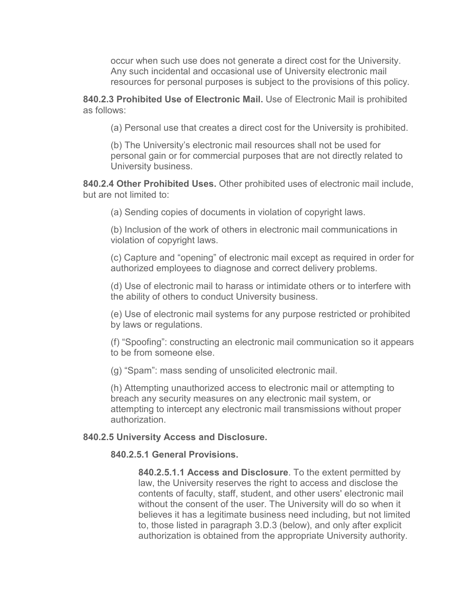occur when such use does not generate a direct cost for the University. Any such incidental and occasional use of University electronic mail resources for personal purposes is subject to the provisions of this policy.

**840.2.3 Prohibited Use of Electronic Mail.** Use of Electronic Mail is prohibited as follows:

(a) Personal use that creates a direct cost for the University is prohibited.

(b) The University's electronic mail resources shall not be used for personal gain or for commercial purposes that are not directly related to University business.

**840.2.4 Other Prohibited Uses.** Other prohibited uses of electronic mail include, but are not limited to:

(a) Sending copies of documents in violation of copyright laws.

(b) Inclusion of the work of others in electronic mail communications in violation of copyright laws.

(c) Capture and "opening" of electronic mail except as required in order for authorized employees to diagnose and correct delivery problems.

(d) Use of electronic mail to harass or intimidate others or to interfere with the ability of others to conduct University business.

(e) Use of electronic mail systems for any purpose restricted or prohibited by laws or regulations.

(f) "Spoofing": constructing an electronic mail communication so it appears to be from someone else.

(g) "Spam": mass sending of unsolicited electronic mail.

(h) Attempting unauthorized access to electronic mail or attempting to breach any security measures on any electronic mail system, or attempting to intercept any electronic mail transmissions without proper authorization.

## **840.2.5 University Access and Disclosure.**

# **840.2.5.1 General Provisions.**

**840.2.5.1.1 Access and Disclosure**. To the extent permitted by law, the University reserves the right to access and disclose the contents of faculty, staff, student, and other users' electronic mail without the consent of the user. The University will do so when it believes it has a legitimate business need including, but not limited to, those listed in paragraph 3.D.3 (below), and only after explicit authorization is obtained from the appropriate University authority.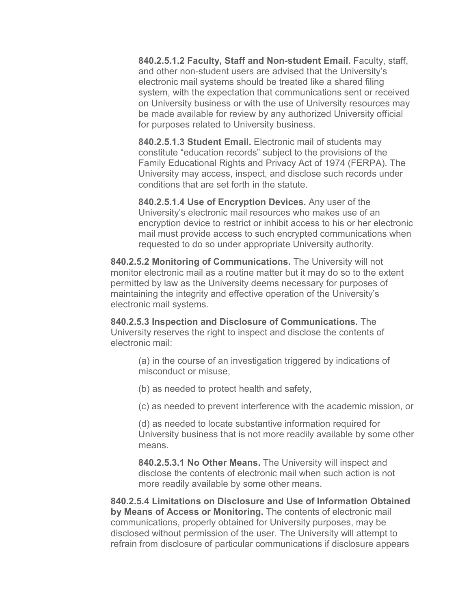**840.2.5.1.2 Faculty, Staff and Non-student Email.** Faculty, staff, and other non-student users are advised that the University's electronic mail systems should be treated like a shared filing system, with the expectation that communications sent or received on University business or with the use of University resources may be made available for review by any authorized University official for purposes related to University business.

**840.2.5.1.3 Student Email.** Electronic mail of students may constitute "education records" subject to the provisions of the Family Educational Rights and Privacy Act of 1974 (FERPA). The University may access, inspect, and disclose such records under conditions that are set forth in the statute.

**840.2.5.1.4 Use of Encryption Devices.** Any user of the University's electronic mail resources who makes use of an encryption device to restrict or inhibit access to his or her electronic mail must provide access to such encrypted communications when requested to do so under appropriate University authority.

**840.2.5.2 Monitoring of Communications.** The University will not monitor electronic mail as a routine matter but it may do so to the extent permitted by law as the University deems necessary for purposes of maintaining the integrity and effective operation of the University's electronic mail systems.

**840.2.5.3 Inspection and Disclosure of Communications.** The University reserves the right to inspect and disclose the contents of electronic mail:

(a) in the course of an investigation triggered by indications of misconduct or misuse,

(b) as needed to protect health and safety,

(c) as needed to prevent interference with the academic mission, or

(d) as needed to locate substantive information required for University business that is not more readily available by some other means.

**840.2.5.3.1 No Other Means.** The University will inspect and disclose the contents of electronic mail when such action is not more readily available by some other means.

**840.2.5.4 Limitations on Disclosure and Use of Information Obtained by Means of Access or Monitoring.** The contents of electronic mail communications, properly obtained for University purposes, may be disclosed without permission of the user. The University will attempt to refrain from disclosure of particular communications if disclosure appears